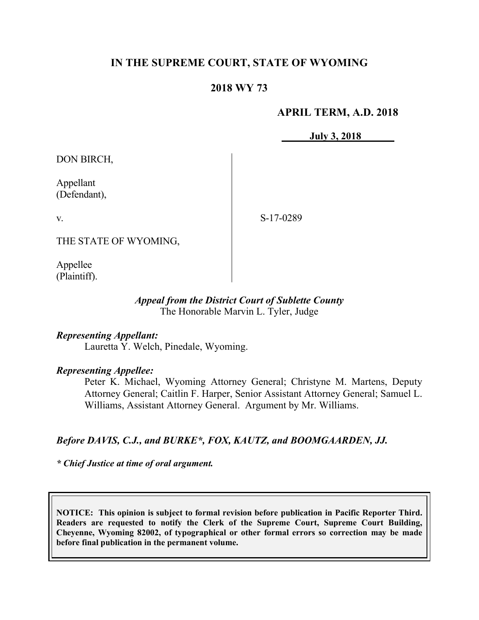# **IN THE SUPREME COURT, STATE OF WYOMING**

## **2018 WY 73**

## **APRIL TERM, A.D. 2018**

**July 3, 2018**

DON BIRCH,

Appellant (Defendant),

v.

S-17-0289

THE STATE OF WYOMING,

Appellee (Plaintiff).

### *Appeal from the District Court of Sublette County* The Honorable Marvin L. Tyler, Judge

### *Representing Appellant:*

Lauretta Y. Welch, Pinedale, Wyoming.

## *Representing Appellee:*

Peter K. Michael, Wyoming Attorney General; Christyne M. Martens, Deputy Attorney General; Caitlin F. Harper, Senior Assistant Attorney General; Samuel L. Williams, Assistant Attorney General. Argument by Mr. Williams.

## *Before DAVIS, C.J., and BURKE\*, FOX, KAUTZ, and BOOMGAARDEN, JJ.*

*\* Chief Justice at time of oral argument.*

**NOTICE: This opinion is subject to formal revision before publication in Pacific Reporter Third. Readers are requested to notify the Clerk of the Supreme Court, Supreme Court Building, Cheyenne, Wyoming 82002, of typographical or other formal errors so correction may be made before final publication in the permanent volume.**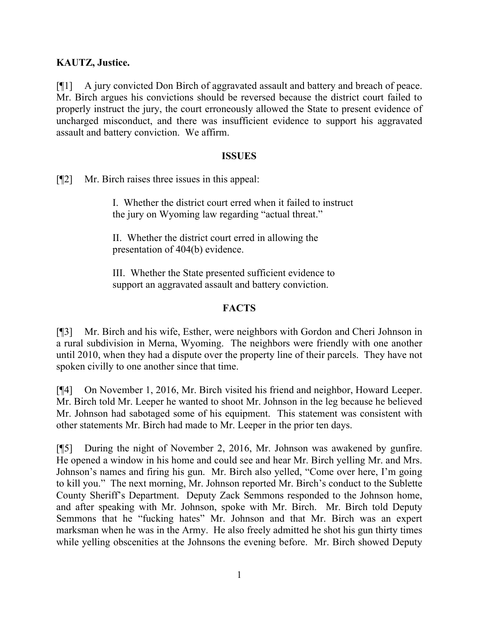## **KAUTZ, Justice.**

[¶1] A jury convicted Don Birch of aggravated assault and battery and breach of peace. Mr. Birch argues his convictions should be reversed because the district court failed to properly instruct the jury, the court erroneously allowed the State to present evidence of uncharged misconduct, and there was insufficient evidence to support his aggravated assault and battery conviction. We affirm.

## **ISSUES**

[¶2] Mr. Birch raises three issues in this appeal:

I. Whether the district court erred when it failed to instruct the jury on Wyoming law regarding "actual threat."

II. Whether the district court erred in allowing the presentation of 404(b) evidence.

III. Whether the State presented sufficient evidence to support an aggravated assault and battery conviction.

# **FACTS**

[¶3] Mr. Birch and his wife, Esther, were neighbors with Gordon and Cheri Johnson in a rural subdivision in Merna, Wyoming. The neighbors were friendly with one another until 2010, when they had a dispute over the property line of their parcels. They have not spoken civilly to one another since that time.

[¶4] On November 1, 2016, Mr. Birch visited his friend and neighbor, Howard Leeper. Mr. Birch told Mr. Leeper he wanted to shoot Mr. Johnson in the leg because he believed Mr. Johnson had sabotaged some of his equipment. This statement was consistent with other statements Mr. Birch had made to Mr. Leeper in the prior ten days.

[¶5] During the night of November 2, 2016, Mr. Johnson was awakened by gunfire. He opened a window in his home and could see and hear Mr. Birch yelling Mr. and Mrs. Johnson's names and firing his gun. Mr. Birch also yelled, "Come over here, I'm going to kill you." The next morning, Mr. Johnson reported Mr. Birch's conduct to the Sublette County Sheriff's Department. Deputy Zack Semmons responded to the Johnson home, and after speaking with Mr. Johnson, spoke with Mr. Birch. Mr. Birch told Deputy Semmons that he "fucking hates" Mr. Johnson and that Mr. Birch was an expert marksman when he was in the Army. He also freely admitted he shot his gun thirty times while yelling obscenities at the Johnsons the evening before. Mr. Birch showed Deputy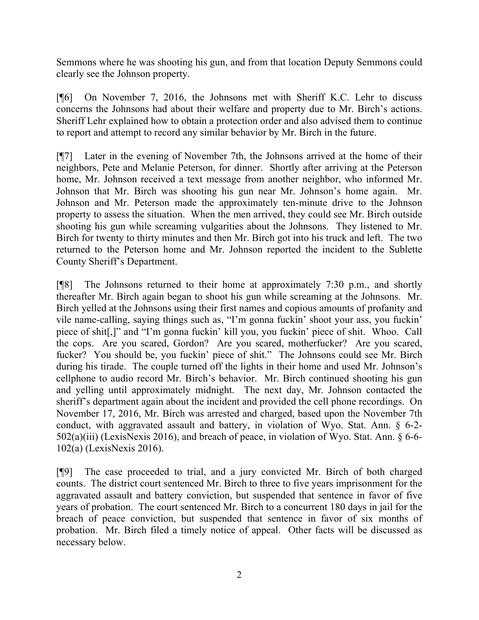Semmons where he was shooting his gun, and from that location Deputy Semmons could clearly see the Johnson property.

[¶6] On November 7, 2016, the Johnsons met with Sheriff K.C. Lehr to discuss concerns the Johnsons had about their welfare and property due to Mr. Birch's actions. Sheriff Lehr explained how to obtain a protection order and also advised them to continue to report and attempt to record any similar behavior by Mr. Birch in the future.

[¶7] Later in the evening of November 7th, the Johnsons arrived at the home of their neighbors, Pete and Melanie Peterson, for dinner. Shortly after arriving at the Peterson home, Mr. Johnson received a text message from another neighbor, who informed Mr. Johnson that Mr. Birch was shooting his gun near Mr. Johnson's home again. Mr. Johnson and Mr. Peterson made the approximately ten-minute drive to the Johnson property to assess the situation. When the men arrived, they could see Mr. Birch outside shooting his gun while screaming vulgarities about the Johnsons. They listened to Mr. Birch for twenty to thirty minutes and then Mr. Birch got into his truck and left. The two returned to the Peterson home and Mr. Johnson reported the incident to the Sublette County Sheriff's Department.

[¶8] The Johnsons returned to their home at approximately 7:30 p.m., and shortly thereafter Mr. Birch again began to shoot his gun while screaming at the Johnsons. Mr. Birch yelled at the Johnsons using their first names and copious amounts of profanity and vile name-calling, saying things such as, "I'm gonna fuckin' shoot your ass, you fuckin' piece of shit[,]" and "I'm gonna fuckin' kill you, you fuckin' piece of shit. Whoo. Call the cops. Are you scared, Gordon? Are you scared, motherfucker? Are you scared, fucker? You should be, you fuckin' piece of shit." The Johnsons could see Mr. Birch during his tirade. The couple turned off the lights in their home and used Mr. Johnson's cellphone to audio record Mr. Birch's behavior. Mr. Birch continued shooting his gun and yelling until approximately midnight. The next day, Mr. Johnson contacted the sheriff's department again about the incident and provided the cell phone recordings. On November 17, 2016, Mr. Birch was arrested and charged, based upon the November 7th conduct, with aggravated assault and battery, in violation of Wyo. Stat. Ann. § 6-2- 502(a)(iii) (LexisNexis 2016), and breach of peace, in violation of Wyo. Stat. Ann. § 6-6- 102(a) (LexisNexis 2016).

[¶9] The case proceeded to trial, and a jury convicted Mr. Birch of both charged counts. The district court sentenced Mr. Birch to three to five years imprisonment for the aggravated assault and battery conviction, but suspended that sentence in favor of five years of probation. The court sentenced Mr. Birch to a concurrent 180 days in jail for the breach of peace conviction, but suspended that sentence in favor of six months of probation. Mr. Birch filed a timely notice of appeal. Other facts will be discussed as necessary below.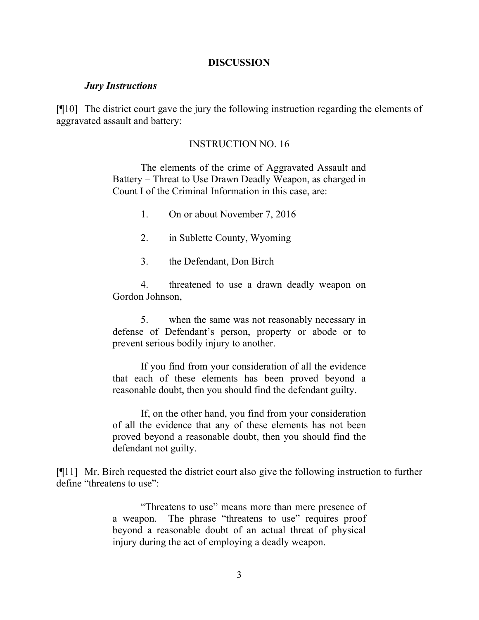#### **DISCUSSION**

#### *Jury Instructions*

[¶10] The district court gave the jury the following instruction regarding the elements of aggravated assault and battery:

#### INSTRUCTION NO. 16

The elements of the crime of Aggravated Assault and Battery – Threat to Use Drawn Deadly Weapon, as charged in Count I of the Criminal Information in this case, are:

- 1. On or about November 7, 2016
- 2. in Sublette County, Wyoming
- 3. the Defendant, Don Birch

4. threatened to use a drawn deadly weapon on Gordon Johnson,

5. when the same was not reasonably necessary in defense of Defendant's person, property or abode or to prevent serious bodily injury to another.

If you find from your consideration of all the evidence that each of these elements has been proved beyond a reasonable doubt, then you should find the defendant guilty.

If, on the other hand, you find from your consideration of all the evidence that any of these elements has not been proved beyond a reasonable doubt, then you should find the defendant not guilty.

[¶11] Mr. Birch requested the district court also give the following instruction to further define "threatens to use":

> "Threatens to use" means more than mere presence of a weapon. The phrase "threatens to use" requires proof beyond a reasonable doubt of an actual threat of physical injury during the act of employing a deadly weapon.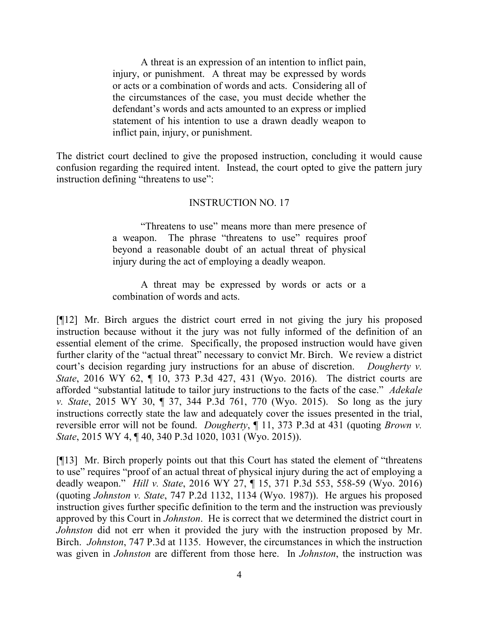A threat is an expression of an intention to inflict pain, injury, or punishment. A threat may be expressed by words or acts or a combination of words and acts. Considering all of the circumstances of the case, you must decide whether the defendant's words and acts amounted to an express or implied statement of his intention to use a drawn deadly weapon to inflict pain, injury, or punishment.

The district court declined to give the proposed instruction, concluding it would cause confusion regarding the required intent. Instead, the court opted to give the pattern jury instruction defining "threatens to use":

## INSTRUCTION NO. 17

"Threatens to use" means more than mere presence of a weapon. The phrase "threatens to use" requires proof beyond a reasonable doubt of an actual threat of physical injury during the act of employing a deadly weapon.

A threat may be expressed by words or acts or a combination of words and acts.

[¶12] Mr. Birch argues the district court erred in not giving the jury his proposed instruction because without it the jury was not fully informed of the definition of an essential element of the crime. Specifically, the proposed instruction would have given further clarity of the "actual threat" necessary to convict Mr. Birch. We review a district court's decision regarding jury instructions for an abuse of discretion. *Dougherty v. State*, 2016 WY 62, ¶ 10, 373 P.3d 427, 431 (Wyo. 2016). The district courts are afforded "substantial latitude to tailor jury instructions to the facts of the case." *Adekale v. State*, 2015 WY 30, ¶ 37, 344 P.3d 761, 770 (Wyo. 2015). So long as the jury instructions correctly state the law and adequately cover the issues presented in the trial, reversible error will not be found. *Dougherty*, ¶ 11, 373 P.3d at 431 (quoting *Brown v. State*, 2015 WY 4, ¶ 40, 340 P.3d 1020, 1031 (Wyo. 2015)).

[¶13] Mr. Birch properly points out that this Court has stated the element of "threatens to use" requires "proof of an actual threat of physical injury during the act of employing a deadly weapon." *Hill v. State*, 2016 WY 27, ¶ 15, 371 P.3d 553, 558-59 (Wyo. 2016) (quoting *Johnston v. State*, 747 P.2d 1132, 1134 (Wyo. 1987)). He argues his proposed instruction gives further specific definition to the term and the instruction was previously approved by this Court in *Johnston*. He is correct that we determined the district court in *Johnston* did not err when it provided the jury with the instruction proposed by Mr. Birch. *Johnston*, 747 P.3d at 1135. However, the circumstances in which the instruction was given in *Johnston* are different from those here. In *Johnston*, the instruction was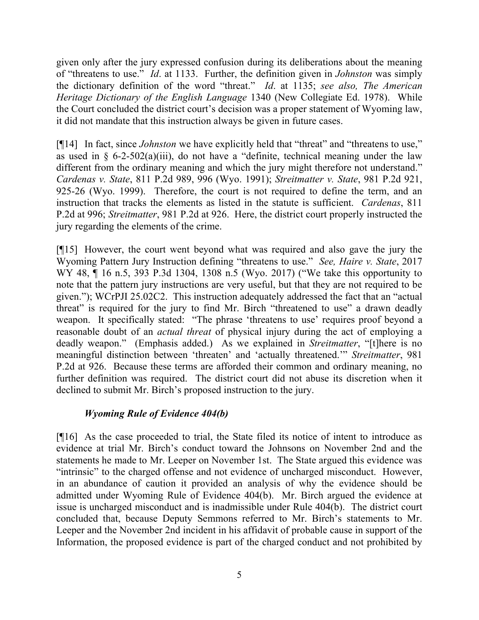given only after the jury expressed confusion during its deliberations about the meaning of "threatens to use." *Id*. at 1133. Further, the definition given in *Johnston* was simply the dictionary definition of the word "threat." *Id*. at 1135; *see also, The American Heritage Dictionary of the English Language* 1340 (New Collegiate Ed. 1978). While the Court concluded the district court's decision was a proper statement of Wyoming law, it did not mandate that this instruction always be given in future cases.

[¶14] In fact, since *Johnston* we have explicitly held that "threat" and "threatens to use," as used in  $\frac{1}{2}$  6-2-502(a)(iii), do not have a "definite, technical meaning under the law different from the ordinary meaning and which the jury might therefore not understand." *Cardenas v. State*, 811 P.2d 989, 996 (Wyo. 1991); *Streitmatter v. State*, 981 P.2d 921, 925-26 (Wyo. 1999). Therefore, the court is not required to define the term, and an instruction that tracks the elements as listed in the statute is sufficient. *Cardenas*, 811 P.2d at 996; *Streitmatter*, 981 P.2d at 926. Here, the district court properly instructed the jury regarding the elements of the crime.

[¶15] However, the court went beyond what was required and also gave the jury the Wyoming Pattern Jury Instruction defining "threatens to use." *See, Haire v. State*, 2017 WY 48,  $\P$  16 n.5, 393 P.3d 1304, 1308 n.5 (Wyo. 2017) ("We take this opportunity to note that the pattern jury instructions are very useful, but that they are not required to be given."); WCrPJI 25.02C2. This instruction adequately addressed the fact that an "actual threat" is required for the jury to find Mr. Birch "threatened to use" a drawn deadly weapon. It specifically stated: "The phrase 'threatens to use' requires proof beyond a reasonable doubt of an *actual threat* of physical injury during the act of employing a deadly weapon." (Emphasis added.) As we explained in *Streitmatter*, "[t]here is no meaningful distinction between 'threaten' and 'actually threatened.'" *Streitmatter*, 981 P.2d at 926. Because these terms are afforded their common and ordinary meaning, no further definition was required. The district court did not abuse its discretion when it declined to submit Mr. Birch's proposed instruction to the jury.

## *Wyoming Rule of Evidence 404(b)*

[¶16] As the case proceeded to trial, the State filed its notice of intent to introduce as evidence at trial Mr. Birch's conduct toward the Johnsons on November 2nd and the statements he made to Mr. Leeper on November 1st. The State argued this evidence was "intrinsic" to the charged offense and not evidence of uncharged misconduct. However, in an abundance of caution it provided an analysis of why the evidence should be admitted under Wyoming Rule of Evidence 404(b). Mr. Birch argued the evidence at issue is uncharged misconduct and is inadmissible under Rule 404(b). The district court concluded that, because Deputy Semmons referred to Mr. Birch's statements to Mr. Leeper and the November 2nd incident in his affidavit of probable cause in support of the Information, the proposed evidence is part of the charged conduct and not prohibited by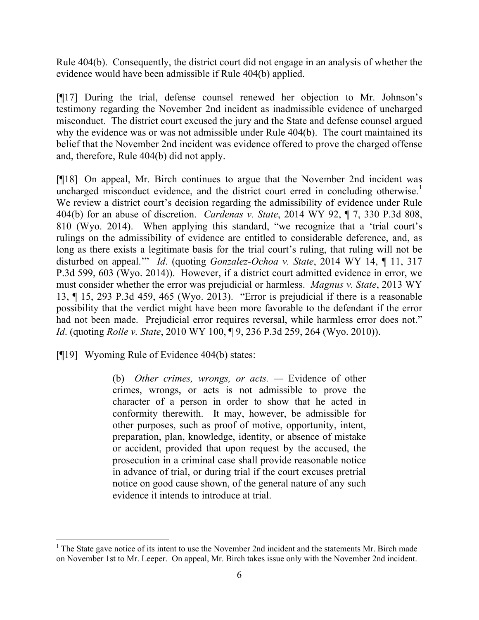Rule 404(b). Consequently, the district court did not engage in an analysis of whether the evidence would have been admissible if Rule 404(b) applied.

[¶17] During the trial, defense counsel renewed her objection to Mr. Johnson's testimony regarding the November 2nd incident as inadmissible evidence of uncharged misconduct. The district court excused the jury and the State and defense counsel argued why the evidence was or was not admissible under Rule 404(b). The court maintained its belief that the November 2nd incident was evidence offered to prove the charged offense and, therefore, Rule 404(b) did not apply.

[¶18] On appeal, Mr. Birch continues to argue that the November 2nd incident was uncharged misconduct evidence, and the district court erred in concluding otherwise.<sup>1</sup> We review a district court's decision regarding the admissibility of evidence under Rule 404(b) for an abuse of discretion. *Cardenas v. State*, 2014 WY 92, ¶ 7, 330 P.3d 808, 810 (Wyo. 2014). When applying this standard, "we recognize that a 'trial court's rulings on the admissibility of evidence are entitled to considerable deference, and, as long as there exists a legitimate basis for the trial court's ruling, that ruling will not be disturbed on appeal.'" *Id*. (quoting *Gonzalez-Ochoa v. State*, 2014 WY 14, ¶ 11, 317 P.3d 599, 603 (Wyo. 2014)). However, if a district court admitted evidence in error, we must consider whether the error was prejudicial or harmless. *Magnus v. State*, 2013 WY 13, ¶ 15, 293 P.3d 459, 465 (Wyo. 2013). "Error is prejudicial if there is a reasonable possibility that the verdict might have been more favorable to the defendant if the error had not been made. Prejudicial error requires reversal, while harmless error does not." *Id*. (quoting *Rolle v. State*, 2010 WY 100, ¶ 9, 236 P.3d 259, 264 (Wyo. 2010)).

[¶19] Wyoming Rule of Evidence 404(b) states:

(b) *Other crimes, wrongs, or acts. —* Evidence of other crimes, wrongs, or acts is not admissible to prove the character of a person in order to show that he acted in conformity therewith. It may, however, be admissible for other purposes, such as proof of motive, opportunity, intent, preparation, plan, knowledge, identity, or absence of mistake or accident, provided that upon request by the accused, the prosecution in a criminal case shall provide reasonable notice in advance of trial, or during trial if the court excuses pretrial notice on good cause shown, of the general nature of any such evidence it intends to introduce at trial.

 $1$  The State gave notice of its intent to use the November 2nd incident and the statements Mr. Birch made on November 1st to Mr. Leeper. On appeal, Mr. Birch takes issue only with the November 2nd incident.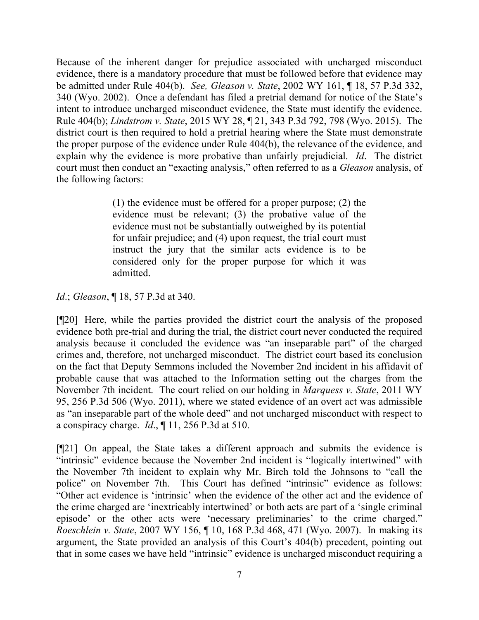Because of the inherent danger for prejudice associated with uncharged misconduct evidence, there is a mandatory procedure that must be followed before that evidence may be admitted under Rule 404(b). *See, Gleason v. State*, 2002 WY 161, ¶ 18, 57 P.3d 332, 340 (Wyo. 2002). Once a defendant has filed a pretrial demand for notice of the State's intent to introduce uncharged misconduct evidence, the State must identify the evidence. Rule 404(b); *Lindstrom v. State*, 2015 WY 28, ¶ 21, 343 P.3d 792, 798 (Wyo. 2015). The district court is then required to hold a pretrial hearing where the State must demonstrate the proper purpose of the evidence under Rule 404(b), the relevance of the evidence, and explain why the evidence is more probative than unfairly prejudicial. *Id*. The district court must then conduct an "exacting analysis," often referred to as a *Gleason* analysis, of the following factors:

> (1) the evidence must be offered for a proper purpose; (2) the evidence must be relevant; (3) the probative value of the evidence must not be substantially outweighed by its potential for unfair prejudice; and (4) upon request, the trial court must instruct the jury that the similar acts evidence is to be considered only for the proper purpose for which it was admitted.

*Id*.; *Gleason*, ¶ 18, 57 P.3d at 340.

[¶20] Here, while the parties provided the district court the analysis of the proposed evidence both pre-trial and during the trial, the district court never conducted the required analysis because it concluded the evidence was "an inseparable part" of the charged crimes and, therefore, not uncharged misconduct. The district court based its conclusion on the fact that Deputy Semmons included the November 2nd incident in his affidavit of probable cause that was attached to the Information setting out the charges from the November 7th incident. The court relied on our holding in *Marquess v. State*, 2011 WY 95, 256 P.3d 506 (Wyo. 2011), where we stated evidence of an overt act was admissible as "an inseparable part of the whole deed" and not uncharged misconduct with respect to a conspiracy charge. *Id*., ¶ 11, 256 P.3d at 510.

[¶21] On appeal, the State takes a different approach and submits the evidence is "intrinsic" evidence because the November 2nd incident is "logically intertwined" with the November 7th incident to explain why Mr. Birch told the Johnsons to "call the police" on November 7th. This Court has defined "intrinsic" evidence as follows: "Other act evidence is 'intrinsic' when the evidence of the other act and the evidence of the crime charged are 'inextricably intertwined' or both acts are part of a 'single criminal episode' or the other acts were 'necessary preliminaries' to the crime charged." *Roeschlein v. State*, 2007 WY 156, ¶ 10, 168 P.3d 468, 471 (Wyo. 2007). In making its argument, the State provided an analysis of this Court's 404(b) precedent, pointing out that in some cases we have held "intrinsic" evidence is uncharged misconduct requiring a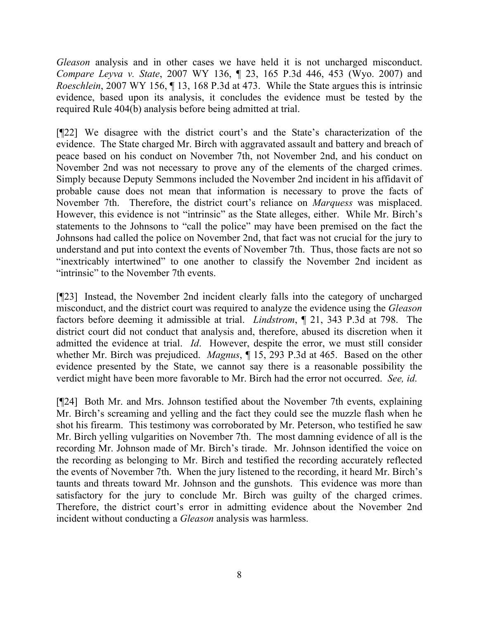*Gleason* analysis and in other cases we have held it is not uncharged misconduct. *Compare Leyva v. State*, 2007 WY 136, ¶ 23, 165 P.3d 446, 453 (Wyo. 2007) and *Roeschlein*, 2007 WY 156, ¶ 13, 168 P.3d at 473. While the State argues this is intrinsic evidence, based upon its analysis, it concludes the evidence must be tested by the required Rule 404(b) analysis before being admitted at trial.

[¶22] We disagree with the district court's and the State's characterization of the evidence. The State charged Mr. Birch with aggravated assault and battery and breach of peace based on his conduct on November 7th, not November 2nd, and his conduct on November 2nd was not necessary to prove any of the elements of the charged crimes. Simply because Deputy Semmons included the November 2nd incident in his affidavit of probable cause does not mean that information is necessary to prove the facts of November 7th. Therefore, the district court's reliance on *Marquess* was misplaced. However, this evidence is not "intrinsic" as the State alleges, either. While Mr. Birch's statements to the Johnsons to "call the police" may have been premised on the fact the Johnsons had called the police on November 2nd, that fact was not crucial for the jury to understand and put into context the events of November 7th. Thus, those facts are not so "inextricably intertwined" to one another to classify the November 2nd incident as "intrinsic" to the November 7th events.

[¶23] Instead, the November 2nd incident clearly falls into the category of uncharged misconduct, and the district court was required to analyze the evidence using the *Gleason* factors before deeming it admissible at trial. *Lindstrom*, ¶ 21, 343 P.3d at 798. The district court did not conduct that analysis and, therefore, abused its discretion when it admitted the evidence at trial. *Id*. However, despite the error, we must still consider whether Mr. Birch was prejudiced. *Magnus*, ¶ 15, 293 P.3d at 465. Based on the other evidence presented by the State, we cannot say there is a reasonable possibility the verdict might have been more favorable to Mr. Birch had the error not occurred. *See, id*.

[¶24] Both Mr. and Mrs. Johnson testified about the November 7th events, explaining Mr. Birch's screaming and yelling and the fact they could see the muzzle flash when he shot his firearm. This testimony was corroborated by Mr. Peterson, who testified he saw Mr. Birch yelling vulgarities on November 7th. The most damning evidence of all is the recording Mr. Johnson made of Mr. Birch's tirade. Mr. Johnson identified the voice on the recording as belonging to Mr. Birch and testified the recording accurately reflected the events of November 7th. When the jury listened to the recording, it heard Mr. Birch's taunts and threats toward Mr. Johnson and the gunshots. This evidence was more than satisfactory for the jury to conclude Mr. Birch was guilty of the charged crimes. Therefore, the district court's error in admitting evidence about the November 2nd incident without conducting a *Gleason* analysis was harmless.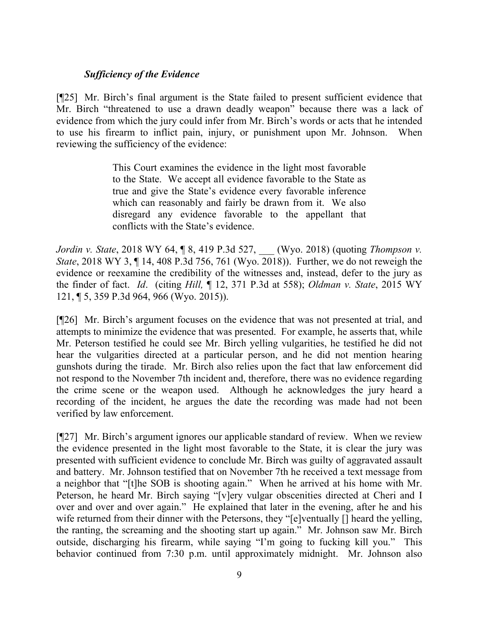# *Sufficiency of the Evidence*

[¶25] Mr. Birch's final argument is the State failed to present sufficient evidence that Mr. Birch "threatened to use a drawn deadly weapon" because there was a lack of evidence from which the jury could infer from Mr. Birch's words or acts that he intended to use his firearm to inflict pain, injury, or punishment upon Mr. Johnson. When reviewing the sufficiency of the evidence:

> This Court examines the evidence in the light most favorable to the State. We accept all evidence favorable to the State as true and give the State's evidence every favorable inference which can reasonably and fairly be drawn from it. We also disregard any evidence favorable to the appellant that conflicts with the State's evidence.

*Jordin v. State*, 2018 WY 64, ¶ 8, 419 P.3d 527, \_\_\_ (Wyo. 2018) (quoting *Thompson v. State*, 2018 WY 3, 14, 408 P.3d 756, 761 (Wyo. 2018)). Further, we do not reweigh the evidence or reexamine the credibility of the witnesses and, instead, defer to the jury as the finder of fact. *Id*. (citing *Hill,* ¶ 12, 371 P.3d at 558); *Oldman v. State*, 2015 WY 121, ¶ 5, 359 P.3d 964, 966 (Wyo. 2015)).

[¶26] Mr. Birch's argument focuses on the evidence that was not presented at trial, and attempts to minimize the evidence that was presented. For example, he asserts that, while Mr. Peterson testified he could see Mr. Birch yelling vulgarities, he testified he did not hear the vulgarities directed at a particular person, and he did not mention hearing gunshots during the tirade. Mr. Birch also relies upon the fact that law enforcement did not respond to the November 7th incident and, therefore, there was no evidence regarding the crime scene or the weapon used. Although he acknowledges the jury heard a recording of the incident, he argues the date the recording was made had not been verified by law enforcement.

[¶27] Mr. Birch's argument ignores our applicable standard of review. When we review the evidence presented in the light most favorable to the State, it is clear the jury was presented with sufficient evidence to conclude Mr. Birch was guilty of aggravated assault and battery. Mr. Johnson testified that on November 7th he received a text message from a neighbor that "[t]he SOB is shooting again." When he arrived at his home with Mr. Peterson, he heard Mr. Birch saying "[v]ery vulgar obscenities directed at Cheri and I over and over and over again." He explained that later in the evening, after he and his wife returned from their dinner with the Petersons, they "[e]ventually [] heard the yelling, the ranting, the screaming and the shooting start up again." Mr. Johnson saw Mr. Birch outside, discharging his firearm, while saying "I'm going to fucking kill you." This behavior continued from 7:30 p.m. until approximately midnight. Mr. Johnson also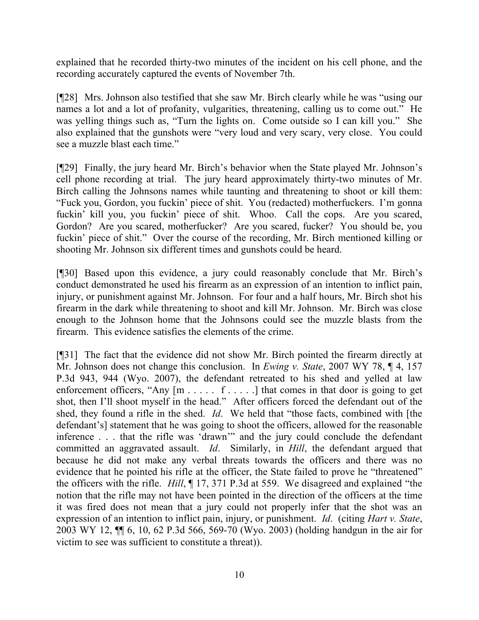explained that he recorded thirty-two minutes of the incident on his cell phone, and the recording accurately captured the events of November 7th.

[¶28] Mrs. Johnson also testified that she saw Mr. Birch clearly while he was "using our names a lot and a lot of profanity, vulgarities, threatening, calling us to come out." He was yelling things such as, "Turn the lights on. Come outside so I can kill you." She also explained that the gunshots were "very loud and very scary, very close. You could see a muzzle blast each time."

[¶29] Finally, the jury heard Mr. Birch's behavior when the State played Mr. Johnson's cell phone recording at trial. The jury heard approximately thirty-two minutes of Mr. Birch calling the Johnsons names while taunting and threatening to shoot or kill them: "Fuck you, Gordon, you fuckin' piece of shit. You (redacted) motherfuckers. I'm gonna fuckin' kill you, you fuckin' piece of shit. Whoo. Call the cops. Are you scared, Gordon? Are you scared, motherfucker? Are you scared, fucker? You should be, you fuckin' piece of shit." Over the course of the recording, Mr. Birch mentioned killing or shooting Mr. Johnson six different times and gunshots could be heard.

[¶30] Based upon this evidence, a jury could reasonably conclude that Mr. Birch's conduct demonstrated he used his firearm as an expression of an intention to inflict pain, injury, or punishment against Mr. Johnson. For four and a half hours, Mr. Birch shot his firearm in the dark while threatening to shoot and kill Mr. Johnson. Mr. Birch was close enough to the Johnson home that the Johnsons could see the muzzle blasts from the firearm. This evidence satisfies the elements of the crime.

[¶31] The fact that the evidence did not show Mr. Birch pointed the firearm directly at Mr. Johnson does not change this conclusion. In *Ewing v. State*, 2007 WY 78, ¶ 4, 157 P.3d 943, 944 (Wyo. 2007), the defendant retreated to his shed and yelled at law enforcement officers, "Any  $[m \ldots r \ldots r]$  that comes in that door is going to get shot, then I'll shoot myself in the head." After officers forced the defendant out of the shed, they found a rifle in the shed. *Id*. We held that "those facts, combined with [the defendant's] statement that he was going to shoot the officers, allowed for the reasonable inference . . . that the rifle was 'drawn'" and the jury could conclude the defendant committed an aggravated assault. *Id*. Similarly, in *Hill*, the defendant argued that because he did not make any verbal threats towards the officers and there was no evidence that he pointed his rifle at the officer, the State failed to prove he "threatened" the officers with the rifle. *Hill*, ¶ 17, 371 P.3d at 559. We disagreed and explained "the notion that the rifle may not have been pointed in the direction of the officers at the time it was fired does not mean that a jury could not properly infer that the shot was an expression of an intention to inflict pain, injury, or punishment. *Id*. (citing *Hart v. State*, 2003 WY 12, ¶¶ 6, 10, 62 P.3d 566, 569-70 (Wyo. 2003) (holding handgun in the air for victim to see was sufficient to constitute a threat)).